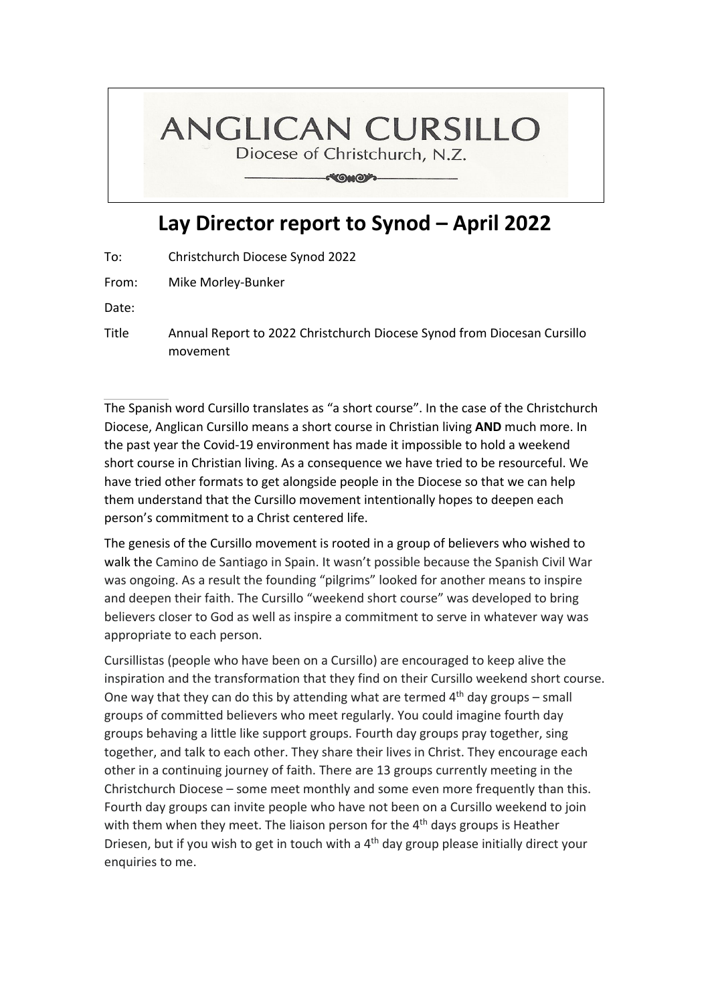## **ANGLICAN CURSILLO**

Diocese of Christchurch, N.Z.

**CONOW** 

## **Lay Director report to Synod – April 2022**

To: Christchurch Diocese Synod 2022

From: Mike Morley‐Bunker

Date:

Title Annual Report to 2022 Christchurch Diocese Synod from Diocesan Cursillo movement

The Spanish word Cursillo translates as "a short course". In the case of the Christchurch Diocese, Anglican Cursillo means a short course in Christian living **AND** much more. In the past year the Covid‐19 environment has made it impossible to hold a weekend short course in Christian living. As a consequence we have tried to be resourceful. We have tried other formats to get alongside people in the Diocese so that we can help them understand that the Cursillo movement intentionally hopes to deepen each person's commitment to a Christ centered life.

The genesis of the Cursillo movement is rooted in a group of believers who wished to walk the Camino de Santiago in Spain. It wasn't possible because the Spanish Civil War was ongoing. As a result the founding "pilgrims" looked for another means to inspire and deepen their faith. The Cursillo "weekend short course" was developed to bring believers closer to God as well as inspire a commitment to serve in whatever way was appropriate to each person.

Cursillistas (people who have been on a Cursillo) are encouraged to keep alive the inspiration and the transformation that they find on their Cursillo weekend short course. One way that they can do this by attending what are termed  $4<sup>th</sup>$  day groups – small groups of committed believers who meet regularly. You could imagine fourth day groups behaving a little like support groups. Fourth day groups pray together, sing together, and talk to each other. They share their lives in Christ. They encourage each other in a continuing journey of faith. There are 13 groups currently meeting in the Christchurch Diocese – some meet monthly and some even more frequently than this. Fourth day groups can invite people who have not been on a Cursillo weekend to join with them when they meet. The liaison person for the 4<sup>th</sup> days groups is Heather Driesen, but if you wish to get in touch with a 4<sup>th</sup> day group please initially direct your enquiries to me.